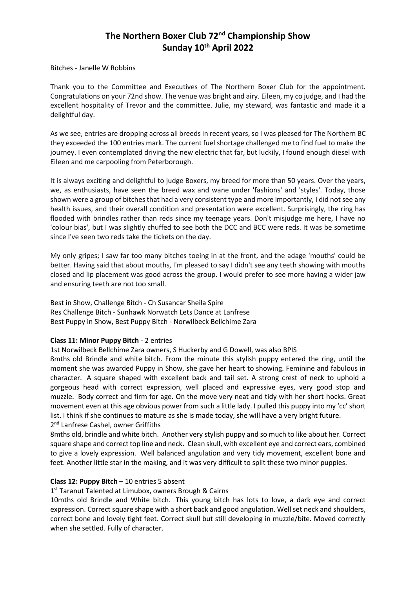# **The Northern Boxer Club 72nd Championship Show Sunday 10th April 2022**

Bitches - Janelle W Robbins

Thank you to the Committee and Executives of The Northern Boxer Club for the appointment. Congratulations on your 72nd show. The venue was bright and airy. Eileen, my co judge, and I had the excellent hospitality of Trevor and the committee. Julie, my steward, was fantastic and made it a delightful day.

As we see, entries are dropping across all breeds in recent years, so I was pleased for The Northern BC they exceeded the 100 entries mark. The current fuel shortage challenged me to find fuel to make the journey. I even contemplated driving the new electric that far, but luckily, I found enough diesel with Eileen and me carpooling from Peterborough.

It is always exciting and delightful to judge Boxers, my breed for more than 50 years. Over the years, we, as enthusiasts, have seen the breed wax and wane under 'fashions' and 'styles'. Today, those shown were a group of bitches that had a very consistent type and more importantly, I did not see any health issues, and their overall condition and presentation were excellent. Surprisingly, the ring has flooded with brindles rather than reds since my teenage years. Don't misjudge me here, I have no 'colour bias', but I was slightly chuffed to see both the DCC and BCC were reds. It was be sometime since I've seen two reds take the tickets on the day.

My only gripes; I saw far too many bitches toeing in at the front, and the adage 'mouths' could be better. Having said that about mouths, I'm pleased to say I didn't see any teeth showing with mouths closed and lip placement was good across the group. I would prefer to see more having a wider jaw and ensuring teeth are not too small.

Best in Show, Challenge Bitch - Ch Susancar Sheila Spire Res Challenge Bitch - Sunhawk Norwatch Lets Dance at Lanfrese Best Puppy in Show, Best Puppy Bitch - Norwilbeck Bellchime Zara

#### **Class 11: Minor Puppy Bitch** - 2 entries

1st Norwilbeck Bellchime Zara owners, S Huckerby and G Dowell, was also BPIS

8mths old Brindle and white bitch. From the minute this stylish puppy entered the ring, until the moment she was awarded Puppy in Show, she gave her heart to showing. Feminine and fabulous in character. A square shaped with excellent back and tail set. A strong crest of neck to uphold a gorgeous head with correct expression, well placed and expressive eyes, very good stop and muzzle. Body correct and firm for age. On the move very neat and tidy with her short hocks. Great movement even at this age obvious power from such a little lady. I pulled this puppy into my 'cc' short list. I think if she continues to mature as she is made today, she will have a very bright future. 2<sup>nd</sup> Lanfrese Cashel, owner Griffiths

8mths old, brindle and white bitch. Another very stylish puppy and so much to like about her. Correct square shape and correct top line and neck. Clean skull, with excellent eye and correct ears, combined to give a lovely expression. Well balanced angulation and very tidy movement, excellent bone and feet. Another little star in the making, and it was very difficult to split these two minor puppies.

#### **Class 12: Puppy Bitch** – 10 entries 5 absent

1<sup>st</sup> Taranut Talented at Limubox, owners Brough & Cairns

10mths old Brindle and White bitch. This young bitch has lots to love, a dark eye and correct expression. Correct square shape with a short back and good angulation. Well set neck and shoulders, correct bone and lovely tight feet. Correct skull but still developing in muzzle/bite. Moved correctly when she settled. Fully of character.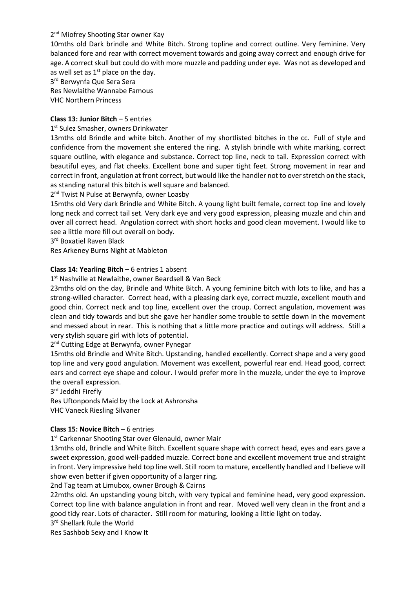# 2<sup>nd</sup> Miofrey Shooting Star owner Kay

10mths old Dark brindle and White Bitch. Strong topline and correct outline. Very feminine. Very balanced fore and rear with correct movement towards and going away correct and enough drive for age. A correct skull but could do with more muzzle and padding under eye. Was not as developed and as well set as  $1<sup>st</sup>$  place on the day.

3 rd Berwynfa Que Sera Sera Res Newlaithe Wannabe Famous

VHC Northern Princess

# **Class 13: Junior Bitch** – 5 entries

# 1st Sulez Smasher, owners Drinkwater

13mths old Brindle and white bitch. Another of my shortlisted bitches in the cc. Full of style and confidence from the movement she entered the ring. A stylish brindle with white marking, correct square outline, with elegance and substance. Correct top line, neck to tail. Expression correct with beautiful eyes, and flat cheeks. Excellent bone and super tight feet. Strong movement in rear and correct in front, angulation at front correct, but would like the handler not to over stretch on the stack, as standing natural this bitch is well square and balanced.

2<sup>nd</sup> Twist N Pulse at Berwynfa, owner Loasby

15mths old Very dark Brindle and White Bitch. A young light built female, correct top line and lovely long neck and correct tail set. Very dark eye and very good expression, pleasing muzzle and chin and over all correct head. Angulation correct with short hocks and good clean movement. I would like to see a little more fill out overall on body.

3 rd Boxatiel Raven Black

Res Arkeney Burns Night at Mableton

# **Class 14: Yearling Bitch** – 6 entries 1 absent

1 st Nashville at Newlaithe, owner Beardsell & Van Beck

23mths old on the day, Brindle and White Bitch. A young feminine bitch with lots to like, and has a strong-willed character. Correct head, with a pleasing dark eye, correct muzzle, excellent mouth and good chin. Correct neck and top line, excellent over the croup. Correct angulation, movement was clean and tidy towards and but she gave her handler some trouble to settle down in the movement and messed about in rear. This is nothing that a little more practice and outings will address. Still a very stylish square girl with lots of potential.

2<sup>nd</sup> Cutting Edge at Berwynfa, owner Pynegar

15mths old Brindle and White Bitch. Upstanding, handled excellently. Correct shape and a very good top line and very good angulation. Movement was excellent, powerful rear end. Head good, correct ears and correct eye shape and colour. I would prefer more in the muzzle, under the eye to improve the overall expression.

3<sup>rd</sup> Jeddhi Firefly

Res Uftonponds Maid by the Lock at Ashronsha

VHC Vaneck Riesling Silvaner

#### **Class 15: Novice Bitch** – 6 entries

1<sup>st</sup> Carkennar Shooting Star over Glenauld, owner Mair

13mths old, Brindle and White Bitch. Excellent square shape with correct head, eyes and ears gave a sweet expression, good well-padded muzzle. Correct bone and excellent movement true and straight in front. Very impressive held top line well. Still room to mature, excellently handled and I believe will show even better if given opportunity of a larger ring.

2nd Tag team at Limubox, owner Brough & Cairns

22mths old. An upstanding young bitch, with very typical and feminine head, very good expression. Correct top line with balance angulation in front and rear. Moved well very clean in the front and a good tidy rear. Lots of character. Still room for maturing, looking a little light on today.

3 rd Shellark Rule the World

Res Sashbob Sexy and I Know It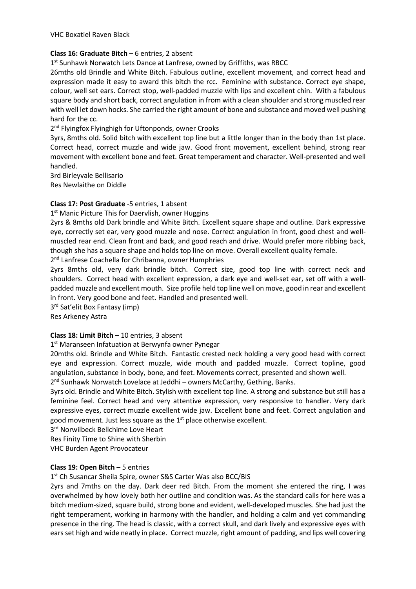VHC Boxatiel Raven Black

### **Class 16: Graduate Bitch** – 6 entries, 2 absent

1<sup>st</sup> Sunhawk Norwatch Lets Dance at Lanfrese, owned by Griffiths, was RBCC

26mths old Brindle and White Bitch. Fabulous outline, excellent movement, and correct head and expression made it easy to award this bitch the rcc. Feminine with substance. Correct eye shape, colour, well set ears. Correct stop, well-padded muzzle with lips and excellent chin. With a fabulous square body and short back, correct angulation in from with a clean shoulder and strong muscled rear with well let down hocks. She carried the right amount of bone and substance and moved well pushing hard for the cc.

# 2<sup>nd</sup> Flyingfox Flyinghigh for Uftonponds, owner Crooks

3yrs, 8mths old. Solid bitch with excellent top line but a little longer than in the body than 1st place. Correct head, correct muzzle and wide jaw. Good front movement, excellent behind, strong rear movement with excellent bone and feet. Great temperament and character. Well-presented and well handled.

3rd Birleyvale Bellisario Res Newlaithe on Diddle

# **Class 17: Post Graduate** -5 entries, 1 absent

1<sup>st</sup> Manic Picture This for Daervlish, owner Huggins

2yrs & 8mths old Dark brindle and White Bitch. Excellent square shape and outline. Dark expressive eye, correctly set ear, very good muzzle and nose. Correct angulation in front, good chest and wellmuscled rear end. Clean front and back, and good reach and drive. Would prefer more ribbing back, though she has a square shape and holds top line on move. Overall excellent quality female.

2<sup>nd</sup> Lanfrese Coachella for Chribanna, owner Humphries

2yrs 8mths old, very dark brindle bitch. Correct size, good top line with correct neck and shoulders. Correct head with excellent expression, a dark eye and well-set ear, set off with a wellpadded muzzle and excellent mouth. Size profile held top line well on move, good in rear and excellent in front. Very good bone and feet. Handled and presented well.

3 rd Sat'elit Box Fantasy (imp)

Res Arkeney Astra

# **Class 18: Limit Bitch** – 10 entries, 3 absent

#### 1 st Maranseen Infatuation at Berwynfa owner Pynegar

20mths old. Brindle and White Bitch. Fantastic crested neck holding a very good head with correct eye and expression. Correct muzzle, wide mouth and padded muzzle. Correct topline, good angulation, substance in body, bone, and feet. Movements correct, presented and shown well.

2<sup>nd</sup> Sunhawk Norwatch Lovelace at Jeddhi - owners McCarthy, Gething, Banks.

3yrs old. Brindle and White Bitch. Stylish with excellent top line. A strong and substance but still has a feminine feel. Correct head and very attentive expression, very responsive to handler. Very dark expressive eyes, correct muzzle excellent wide jaw. Excellent bone and feet. Correct angulation and good movement. Just less square as the  $1<sup>st</sup>$  place otherwise excellent.

3<sup>rd</sup> Norwilbeck Bellchime Love Heart

Res Finity Time to Shine with Sherbin

VHC Burden Agent Provocateur

#### **Class 19: Open Bitch** – 5 entries

1<sup>st</sup> Ch Susancar Sheila Spire, owner S&S Carter Was also BCC/BIS

2yrs and 7mths on the day. Dark deer red Bitch. From the moment she entered the ring, I was overwhelmed by how lovely both her outline and condition was. As the standard calls for here was a bitch medium-sized, square build, strong bone and evident, well-developed muscles. She had just the right temperament, working in harmony with the handler, and holding a calm and yet commanding presence in the ring. The head is classic, with a correct skull, and dark lively and expressive eyes with ears set high and wide neatly in place. Correct muzzle, right amount of padding, and lips well covering